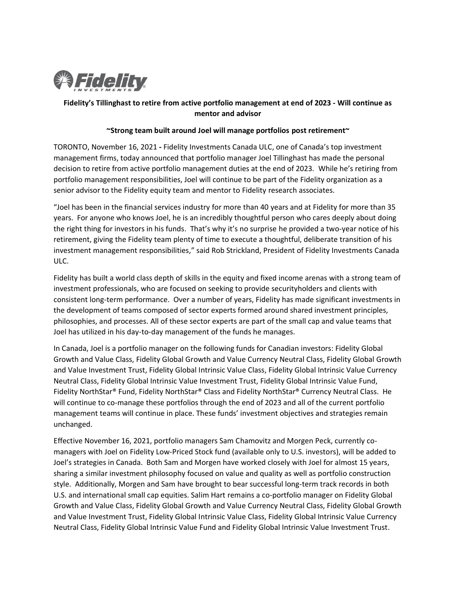

# **Fidelity's Tillinghast to retire from active portfolio management at end of 2023 - Will continue as mentor and advisor**

## **~Strong team built around Joel will manage portfolios post retirement~**

TORONTO, November 16, 2021 **-** Fidelity Investments Canada ULC, one of Canada's top investment management firms, today announced that portfolio manager Joel Tillinghast has made the personal decision to retire from active portfolio management duties at the end of 2023. While he's retiring from portfolio management responsibilities, Joel will continue to be part of the Fidelity organization as a senior advisor to the Fidelity equity team and mentor to Fidelity research associates.

"Joel has been in the financial services industry for more than 40 years and at Fidelity for more than 35 years. For anyone who knows Joel, he is an incredibly thoughtful person who cares deeply about doing the right thing for investors in his funds. That's why it's no surprise he provided a two-year notice of his retirement, giving the Fidelity team plenty of time to execute a thoughtful, deliberate transition of his investment management responsibilities," said Rob Strickland, President of Fidelity Investments Canada ULC.

Fidelity has built a world class depth of skills in the equity and fixed income arenas with a strong team of investment professionals, who are focused on seeking to provide securityholders and clients with consistent long-term performance. Over a number of years, Fidelity has made significant investments in the development of teams composed of sector experts formed around shared investment principles, philosophies, and processes. All of these sector experts are part of the small cap and value teams that Joel has utilized in his day-to-day management of the funds he manages.

In Canada, Joel is a portfolio manager on the following funds for Canadian investors: Fidelity Global Growth and Value Class, Fidelity Global Growth and Value Currency Neutral Class, Fidelity Global Growth and Value Investment Trust, Fidelity Global Intrinsic Value Class, Fidelity Global Intrinsic Value Currency Neutral Class, Fidelity Global Intrinsic Value Investment Trust, Fidelity Global Intrinsic Value Fund, Fidelity NorthStar® Fund, Fidelity NorthStar® Class and Fidelity NorthStar® Currency Neutral Class. He will continue to co-manage these portfolios through the end of 2023 and all of the current portfolio management teams will continue in place. These funds' investment objectives and strategies remain unchanged.

Effective November 16, 2021, portfolio managers Sam Chamovitz and Morgen Peck, currently comanagers with Joel on Fidelity Low-Priced Stock fund (available only to U.S. investors), will be added to Joel's strategies in Canada. Both Sam and Morgen have worked closely with Joel for almost 15 years, sharing a similar investment philosophy focused on value and quality as well as portfolio construction style. Additionally, Morgen and Sam have brought to bear successful long-term track records in both U.S. and international small cap equities. Salim Hart remains a co-portfolio manager on Fidelity Global Growth and Value Class, Fidelity Global Growth and Value Currency Neutral Class, Fidelity Global Growth and Value Investment Trust, Fidelity Global Intrinsic Value Class, Fidelity Global Intrinsic Value Currency Neutral Class, Fidelity Global Intrinsic Value Fund and Fidelity Global Intrinsic Value Investment Trust.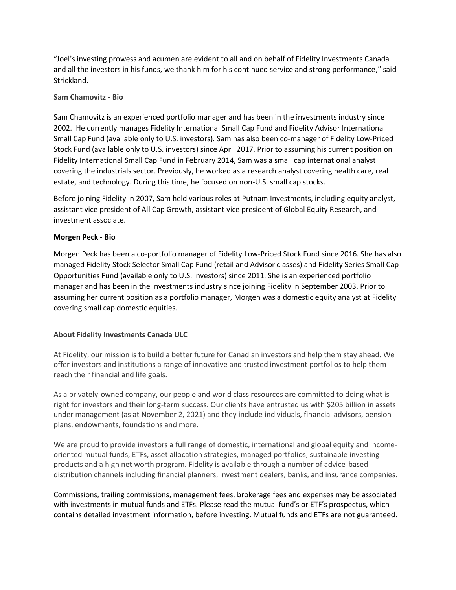"Joel's investing prowess and acumen are evident to all and on behalf of Fidelity Investments Canada and all the investors in his funds, we thank him for his continued service and strong performance," said Strickland.

## **Sam Chamovitz - Bio**

Sam Chamovitz is an experienced portfolio manager and has been in the investments industry since 2002. He currently manages Fidelity International Small Cap Fund and Fidelity Advisor International Small Cap Fund (available only to U.S. investors). Sam has also been co-manager of Fidelity Low-Priced Stock Fund (available only to U.S. investors) since April 2017. Prior to assuming his current position on Fidelity International Small Cap Fund in February 2014, Sam was a small cap international analyst covering the industrials sector. Previously, he worked as a research analyst covering health care, real estate, and technology. During this time, he focused on non-U.S. small cap stocks.

Before joining Fidelity in 2007, Sam held various roles at Putnam Investments, including equity analyst, assistant vice president of All Cap Growth, assistant vice president of Global Equity Research, and investment associate.

### **Morgen Peck - Bio**

Morgen Peck has been a co-portfolio manager of Fidelity Low-Priced Stock Fund since 2016. She has also managed Fidelity Stock Selector Small Cap Fund (retail and Advisor classes) and Fidelity Series Small Cap Opportunities Fund (available only to U.S. investors) since 2011. She is an experienced portfolio manager and has been in the investments industry since joining Fidelity in September 2003. Prior to assuming her current position as a portfolio manager, Morgen was a domestic equity analyst at Fidelity covering small cap domestic equities.

# **About Fidelity Investments Canada ULC**

At Fidelity, our mission is to build a better future for Canadian investors and help them stay ahead. We offer investors and institutions a range of innovative and trusted investment portfolios to help them reach their financial and life goals.

As a privately-owned company, our people and world class resources are committed to doing what is right for investors and their long-term success. Our clients have entrusted us with \$205 billion in assets under management (as at November 2, 2021) and they include individuals, financial advisors, pension plans, endowments, foundations and more.

We are proud to provide investors a full range of domestic, international and global equity and incomeoriented mutual funds, ETFs, asset allocation strategies, managed portfolios, sustainable investing products and a high net worth program. Fidelity is available through a number of advice-based distribution channels including financial planners, investment dealers, banks, and insurance companies.

Commissions, trailing commissions, management fees, brokerage fees and expenses may be associated with investments in mutual funds and ETFs. Please read the mutual fund's or ETF's prospectus, which contains detailed investment information, before investing. Mutual funds and ETFs are not guaranteed.